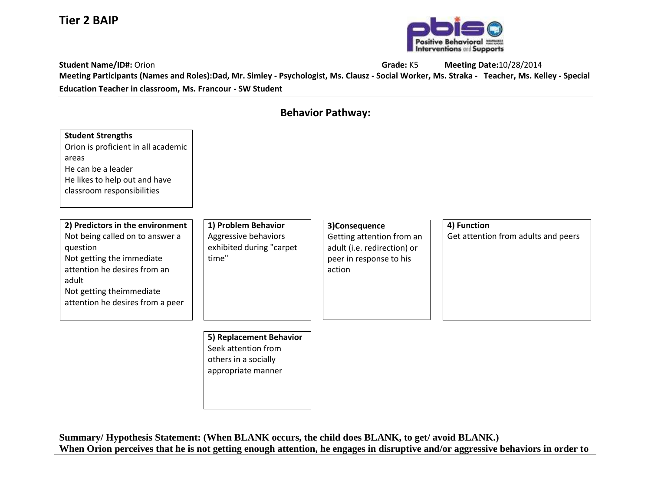## **Tier 2 BAIP**



**Student Name/ID#:** Orion **Grade:** K5 **Meeting Date:**10/28/2014 **Meeting Participants (Names and Roles):Dad, Mr. Simley - Psychologist, Ms. Clausz - Social Worker, Ms. Straka - Teacher, Ms. Kelley - Special Education Teacher in classroom, Ms. Francour - SW Student**

| <b>Behavior Pathway:</b>                                                                                                                                                                                              |                                                                                              |                                                                                                                |                                                    |  |  |
|-----------------------------------------------------------------------------------------------------------------------------------------------------------------------------------------------------------------------|----------------------------------------------------------------------------------------------|----------------------------------------------------------------------------------------------------------------|----------------------------------------------------|--|--|
| <b>Student Strengths</b><br>Orion is proficient in all academic<br>areas<br>He can be a leader<br>He likes to help out and have<br>classroom responsibilities                                                         |                                                                                              |                                                                                                                |                                                    |  |  |
| 2) Predictors in the environment<br>Not being called on to answer a<br>question<br>Not getting the immediate<br>attention he desires from an<br>adult<br>Not getting theimmediate<br>attention he desires from a peer | 1) Problem Behavior<br>Aggressive behaviors<br>exhibited during "carpet<br>time"             | 3)Consequence<br>Getting attention from an<br>adult (i.e. redirection) or<br>peer in response to his<br>action | 4) Function<br>Get attention from adults and peers |  |  |
|                                                                                                                                                                                                                       | 5) Replacement Behavior<br>Seek attention from<br>others in a socially<br>appropriate manner |                                                                                                                |                                                    |  |  |

**Summary/ Hypothesis Statement: (When BLANK occurs, the child does BLANK, to get/ avoid BLANK.) When Orion perceives that he is not getting enough attention, he engages in disruptive and/or aggressive behaviors in order to**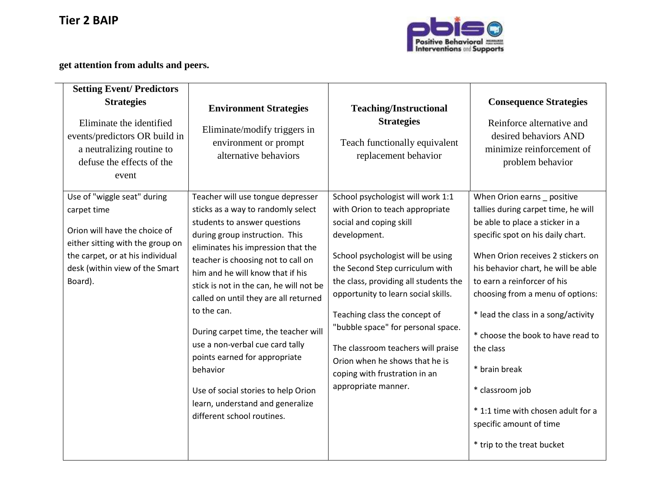

## **get attention from adults and peers.**

| <b>Setting Event/Predictors</b><br><b>Strategies</b><br>Eliminate the identified<br>events/predictors OR build in<br>a neutralizing routine to<br>defuse the effects of the<br>event             | <b>Environment Strategies</b><br>Eliminate/modify triggers in<br>environment or prompt<br>alternative behaviors                                                                                                                                                                                                                                                                                                                                                                                                                                                                               | <b>Teaching/Instructional</b><br><b>Strategies</b><br>Teach functionally equivalent<br>replacement behavior                                                                                                                                                                                                                                                                                                                                                                    | <b>Consequence Strategies</b><br>Reinforce alternative and<br>desired behaviors AND<br>minimize reinforcement of<br>problem behavior                                                                                                                                                                                                                                                                                                                                                                                  |
|--------------------------------------------------------------------------------------------------------------------------------------------------------------------------------------------------|-----------------------------------------------------------------------------------------------------------------------------------------------------------------------------------------------------------------------------------------------------------------------------------------------------------------------------------------------------------------------------------------------------------------------------------------------------------------------------------------------------------------------------------------------------------------------------------------------|--------------------------------------------------------------------------------------------------------------------------------------------------------------------------------------------------------------------------------------------------------------------------------------------------------------------------------------------------------------------------------------------------------------------------------------------------------------------------------|-----------------------------------------------------------------------------------------------------------------------------------------------------------------------------------------------------------------------------------------------------------------------------------------------------------------------------------------------------------------------------------------------------------------------------------------------------------------------------------------------------------------------|
| Use of "wiggle seat" during<br>carpet time<br>Orion will have the choice of<br>either sitting with the group on<br>the carpet, or at his individual<br>desk (within view of the Smart<br>Board). | Teacher will use tongue depresser<br>sticks as a way to randomly select<br>students to answer questions<br>during group instruction. This<br>eliminates his impression that the<br>teacher is choosing not to call on<br>him and he will know that if his<br>stick is not in the can, he will not be<br>called on until they are all returned<br>to the can.<br>During carpet time, the teacher will<br>use a non-verbal cue card tally<br>points earned for appropriate<br>behavior<br>Use of social stories to help Orion<br>learn, understand and generalize<br>different school routines. | School psychologist will work 1:1<br>with Orion to teach appropriate<br>social and coping skill<br>development.<br>School psychologist will be using<br>the Second Step curriculum with<br>the class, providing all students the<br>opportunity to learn social skills.<br>Teaching class the concept of<br>"bubble space" for personal space.<br>The classroom teachers will praise<br>Orion when he shows that he is<br>coping with frustration in an<br>appropriate manner. | When Orion earns _ positive<br>tallies during carpet time, he will<br>be able to place a sticker in a<br>specific spot on his daily chart.<br>When Orion receives 2 stickers on<br>his behavior chart, he will be able<br>to earn a reinforcer of his<br>choosing from a menu of options:<br>* lead the class in a song/activity<br>* choose the book to have read to<br>the class<br>* brain break<br>* classroom job<br>* 1:1 time with chosen adult for a<br>specific amount of time<br>* trip to the treat bucket |